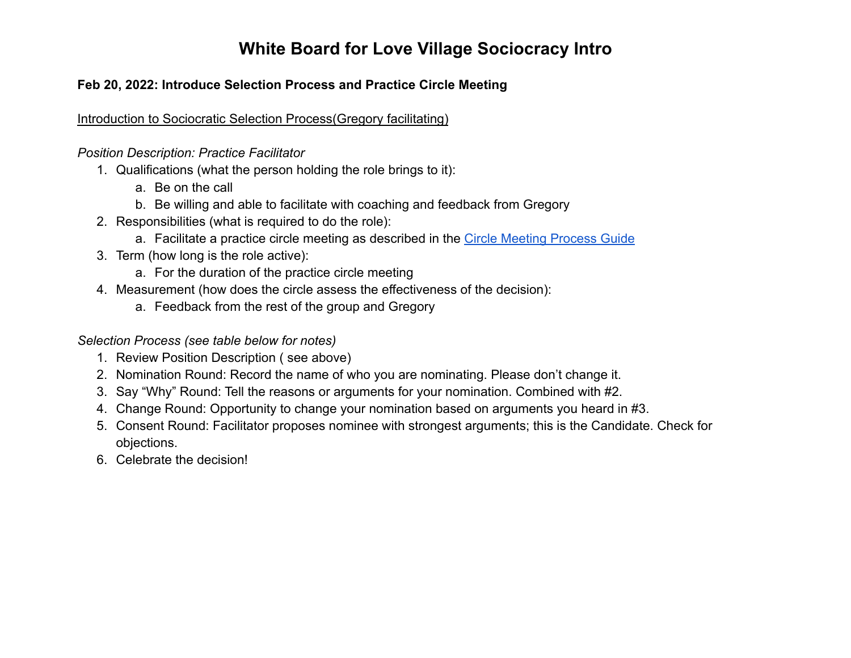#### **Feb 20, 2022: Introduce Selection Process and Practice Circle Meeting**

Introduction to Sociocratic Selection Process(Gregory facilitating)

*Position Description: Practice Facilitator*

- 1. Qualifications (what the person holding the role brings to it):
	- a. Be on the call
	- b. Be willing and able to facilitate with coaching and feedback from Gregory
- 2. Responsibilities (what is required to do the role):
	- a. Facilitate a practice circle meeting as described in the [Circle Meeting Process Guide](https://www.wayofcommunity.net/wp-content/uploads/2020/05/WoC-CM-CDM-Process-Guide-20200527.pdf)
- 3. Term (how long is the role active):
	- a. For the duration of the practice circle meeting
- 4. Measurement (how does the circle assess the effectiveness of the decision):
	- a. Feedback from the rest of the group and Gregory

*Selection Process (see table below for notes)*

- 1. Review Position Description ( see above)
- 2. Nomination Round: Record the name of who you are nominating. Please don't change it.
- 3. Say "Why" Round: Tell the reasons or arguments for your nomination. Combined with #2.
- 4. Change Round: Opportunity to change your nomination based on arguments you heard in #3.
- 5. Consent Round: Facilitator proposes nominee with strongest arguments; this is the Candidate. Check for objections.
- 6. Celebrate the decision!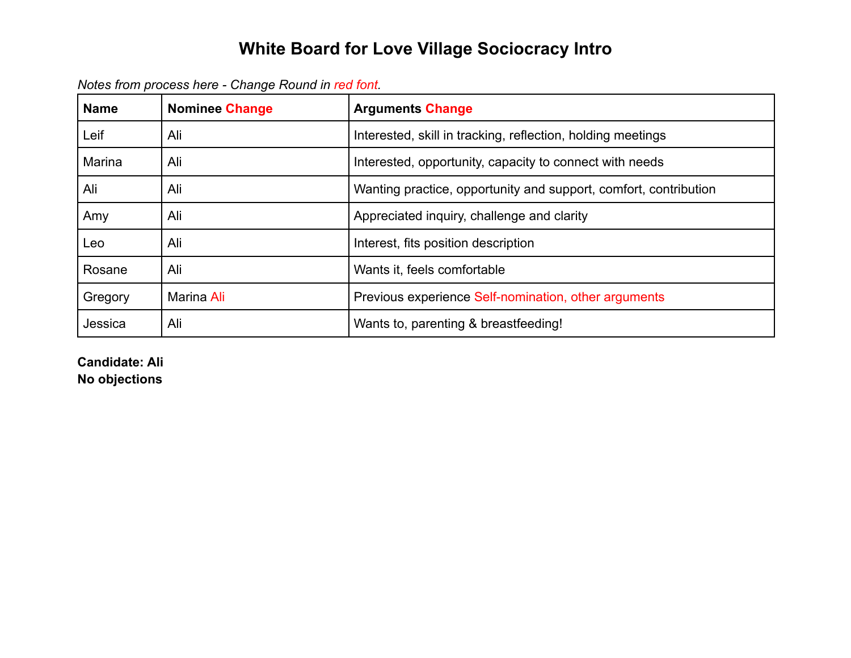|  | Notes from process here - Change Round in red font. |  |  |  |
|--|-----------------------------------------------------|--|--|--|
|--|-----------------------------------------------------|--|--|--|

| <b>Name</b> | <b>Nominee Change</b> | <b>Arguments Change</b>                                          |
|-------------|-----------------------|------------------------------------------------------------------|
| Leif        | Ali                   | Interested, skill in tracking, reflection, holding meetings      |
| Marina      | Ali                   | Interested, opportunity, capacity to connect with needs          |
| Ali         | Ali                   | Wanting practice, opportunity and support, comfort, contribution |
| Amy         | Ali                   | Appreciated inquiry, challenge and clarity                       |
| Leo         | Ali                   | Interest, fits position description                              |
| Rosane      | Ali                   | Wants it, feels comfortable                                      |
| Gregory     | Marina Ali            | Previous experience Self-nomination, other arguments             |
| Jessica     | Ali                   | Wants to, parenting & breastfeeding!                             |

**Candidate: Ali No objections**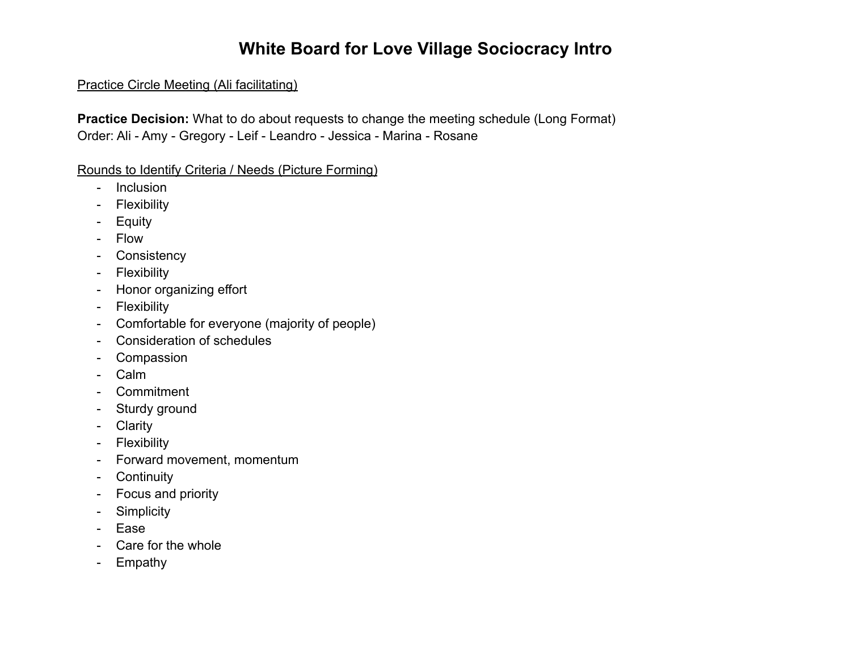#### Practice Circle Meeting (Ali facilitating)

**Practice Decision:** What to do about requests to change the meeting schedule (Long Format) Order: Ali - Amy - Gregory - Leif - Leandro - Jessica - Marina - Rosane

Rounds to Identify Criteria / Needs (Picture Forming)

- Inclusion
- Flexibility
- Equity
- Flow
- Consistency
- Flexibility
- Honor organizing effort
- Flexibility
- Comfortable for everyone (majority of people)
- Consideration of schedules
- Compassion
- Calm
- Commitment
- Sturdy ground
- Clarity
- Flexibility
- Forward movement, momentum
- Continuity
- Focus and priority
- Simplicity
- Ease
- Care for the whole
- Empathy